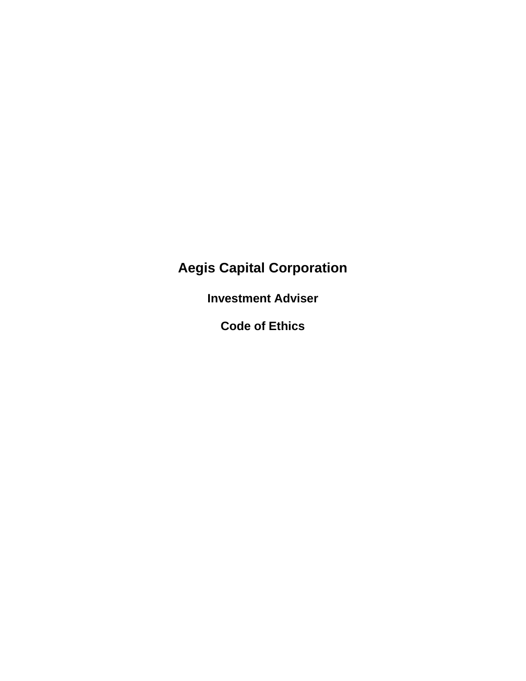# **Aegis Capital Corporation**

**Investment Adviser**

**Code of Ethics**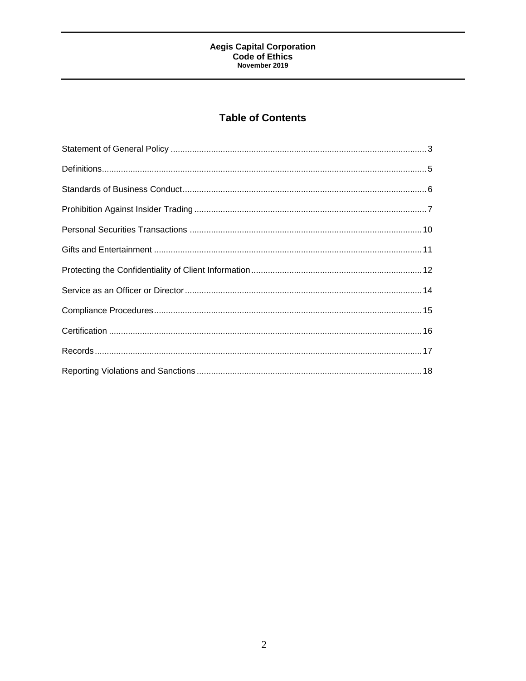## **Table of Contents**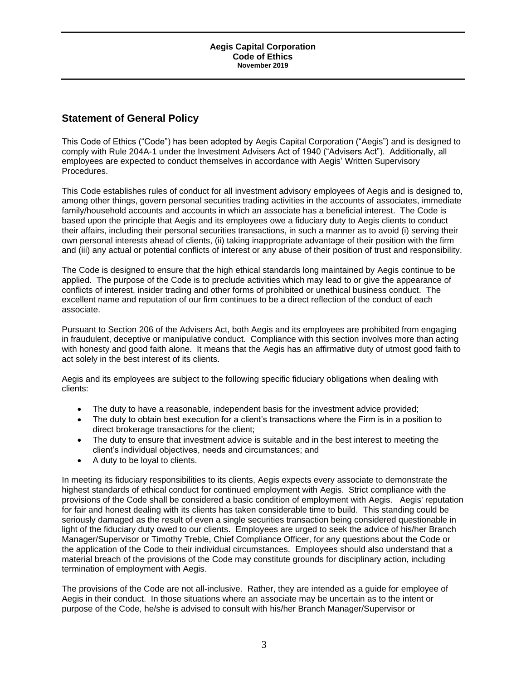## <span id="page-2-0"></span>**Statement of General Policy**

This Code of Ethics ("Code") has been adopted by Aegis Capital Corporation ("Aegis") and is designed to comply with Rule 204A-1 under the Investment Advisers Act of 1940 ("Advisers Act"). Additionally, all employees are expected to conduct themselves in accordance with Aegis' Written Supervisory Procedures.

This Code establishes rules of conduct for all investment advisory employees of Aegis and is designed to, among other things, govern personal securities trading activities in the accounts of associates, immediate family/household accounts and accounts in which an associate has a beneficial interest. The Code is based upon the principle that Aegis and its employees owe a fiduciary duty to Aegis clients to conduct their affairs, including their personal securities transactions, in such a manner as to avoid (i) serving their own personal interests ahead of clients, (ii) taking inappropriate advantage of their position with the firm and (iii) any actual or potential conflicts of interest or any abuse of their position of trust and responsibility.

The Code is designed to ensure that the high ethical standards long maintained by Aegis continue to be applied. The purpose of the Code is to preclude activities which may lead to or give the appearance of conflicts of interest, insider trading and other forms of prohibited or unethical business conduct. The excellent name and reputation of our firm continues to be a direct reflection of the conduct of each associate.

Pursuant to Section 206 of the Advisers Act, both Aegis and its employees are prohibited from engaging in fraudulent, deceptive or manipulative conduct. Compliance with this section involves more than acting with honesty and good faith alone. It means that the Aegis has an affirmative duty of utmost good faith to act solely in the best interest of its clients.

Aegis and its employees are subject to the following specific fiduciary obligations when dealing with clients:

- The duty to have a reasonable, independent basis for the investment advice provided;
- The duty to obtain best execution for a client's transactions where the Firm is in a position to direct brokerage transactions for the client;
- The duty to ensure that investment advice is suitable and in the best interest to meeting the client's individual objectives, needs and circumstances; and
- A duty to be loyal to clients.

In meeting its fiduciary responsibilities to its clients, Aegis expects every associate to demonstrate the highest standards of ethical conduct for continued employment with Aegis. Strict compliance with the provisions of the Code shall be considered a basic condition of employment with Aegis. Aegis' reputation for fair and honest dealing with its clients has taken considerable time to build. This standing could be seriously damaged as the result of even a single securities transaction being considered questionable in light of the fiduciary duty owed to our clients. Employees are urged to seek the advice of his/her Branch Manager/Supervisor or Timothy Treble, Chief Compliance Officer, for any questions about the Code or the application of the Code to their individual circumstances. Employees should also understand that a material breach of the provisions of the Code may constitute grounds for disciplinary action, including termination of employment with Aegis.

The provisions of the Code are not all-inclusive. Rather, they are intended as a guide for employee of Aegis in their conduct. In those situations where an associate may be uncertain as to the intent or purpose of the Code, he/she is advised to consult with his/her Branch Manager/Supervisor or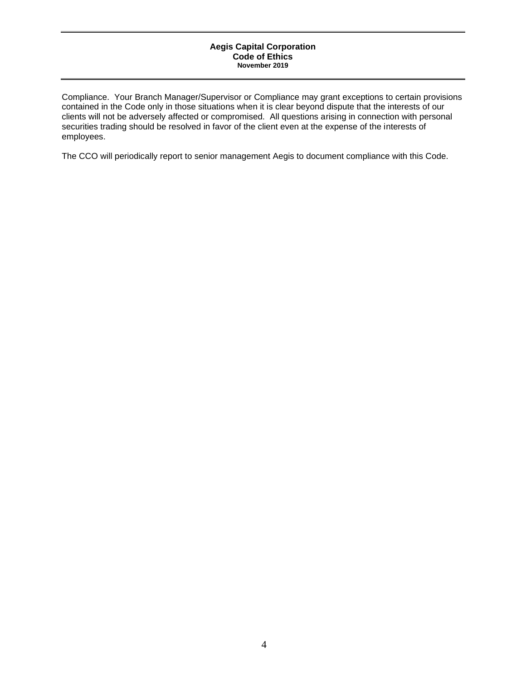Compliance. Your Branch Manager/Supervisor or Compliance may grant exceptions to certain provisions contained in the Code only in those situations when it is clear beyond dispute that the interests of our clients will not be adversely affected or compromised. All questions arising in connection with personal securities trading should be resolved in favor of the client even at the expense of the interests of employees.

The CCO will periodically report to senior management Aegis to document compliance with this Code.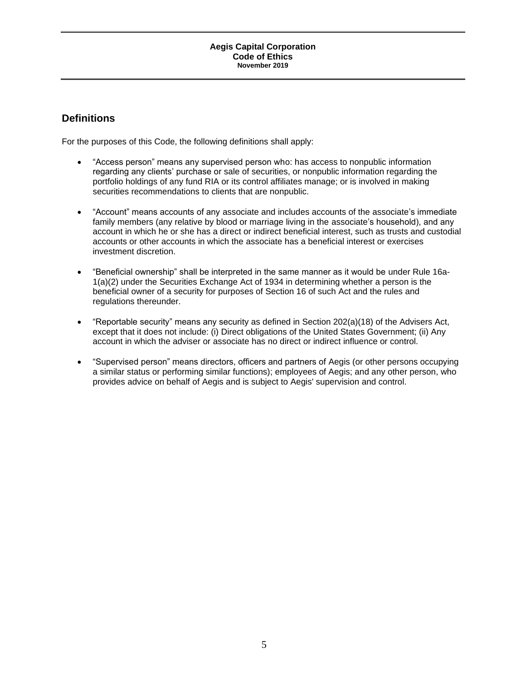## <span id="page-4-0"></span>**Definitions**

For the purposes of this Code, the following definitions shall apply:

- "Access person" means any supervised person who: has access to nonpublic information regarding any clients' purchase or sale of securities, or nonpublic information regarding the portfolio holdings of any fund RIA or its control affiliates manage; or is involved in making securities recommendations to clients that are nonpublic.
- "Account" means accounts of any associate and includes accounts of the associate's immediate family members (any relative by blood or marriage living in the associate's household), and any account in which he or she has a direct or indirect beneficial interest, such as trusts and custodial accounts or other accounts in which the associate has a beneficial interest or exercises investment discretion.
- "Beneficial ownership" shall be interpreted in the same manner as it would be under Rule 16a-1(a)(2) under the Securities Exchange Act of 1934 in determining whether a person is the beneficial owner of a security for purposes of Section 16 of such Act and the rules and regulations thereunder.
- "Reportable security" means any security as defined in Section 202(a)(18) of the Advisers Act, except that it does not include: (i) Direct obligations of the United States Government; (ii) Any account in which the adviser or associate has no direct or indirect influence or control.
- "Supervised person" means directors, officers and partners of Aegis (or other persons occupying a similar status or performing similar functions); employees of Aegis; and any other person, who provides advice on behalf of Aegis and is subject to Aegis' supervision and control.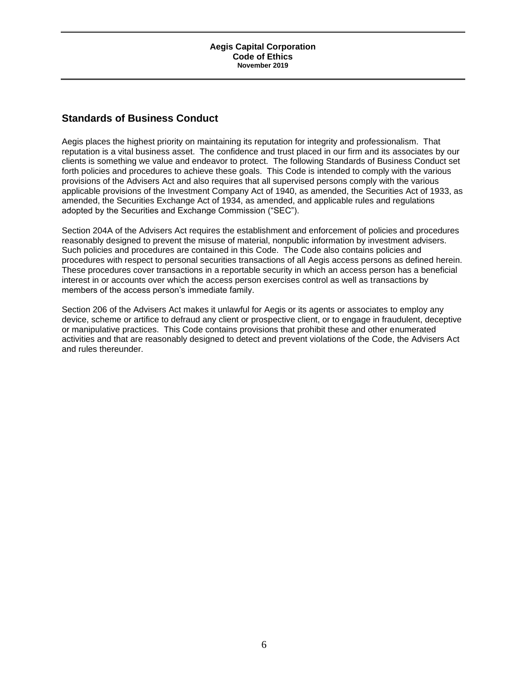## <span id="page-5-0"></span>**Standards of Business Conduct**

Aegis places the highest priority on maintaining its reputation for integrity and professionalism. That reputation is a vital business asset. The confidence and trust placed in our firm and its associates by our clients is something we value and endeavor to protect. The following Standards of Business Conduct set forth policies and procedures to achieve these goals. This Code is intended to comply with the various provisions of the Advisers Act and also requires that all supervised persons comply with the various applicable provisions of the Investment Company Act of 1940, as amended, the Securities Act of 1933, as amended, the Securities Exchange Act of 1934, as amended, and applicable rules and regulations adopted by the Securities and Exchange Commission ("SEC").

Section 204A of the Advisers Act requires the establishment and enforcement of policies and procedures reasonably designed to prevent the misuse of material, nonpublic information by investment advisers. Such policies and procedures are contained in this Code. The Code also contains policies and procedures with respect to personal securities transactions of all Aegis access persons as defined herein. These procedures cover transactions in a reportable security in which an access person has a beneficial interest in or accounts over which the access person exercises control as well as transactions by members of the access person's immediate family.

Section 206 of the Advisers Act makes it unlawful for Aegis or its agents or associates to employ any device, scheme or artifice to defraud any client or prospective client, or to engage in fraudulent, deceptive or manipulative practices. This Code contains provisions that prohibit these and other enumerated activities and that are reasonably designed to detect and prevent violations of the Code, the Advisers Act and rules thereunder.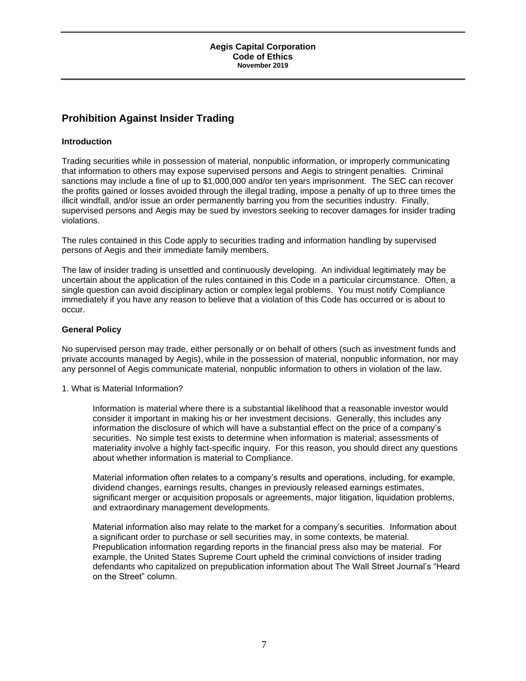## <span id="page-6-0"></span>**Prohibition Against Insider Trading**

## **Introduction**

Trading securities while in possession of material, nonpublic information, or improperly communicating that information to others may expose supervised persons and Aegis to stringent penalties. Criminal sanctions may include a fine of up to \$1,000,000 and/or ten years imprisonment. The SEC can recover the profits gained or losses avoided through the illegal trading, impose a penalty of up to three times the illicit windfall, and/or issue an order permanently barring you from the securities industry. Finally, supervised persons and Aegis may be sued by investors seeking to recover damages for insider trading violations.

The rules contained in this Code apply to securities trading and information handling by supervised persons of Aegis and their immediate family members.

The law of insider trading is unsettled and continuously developing. An individual legitimately may be uncertain about the application of the rules contained in this Code in a particular circumstance. Often, a single question can avoid disciplinary action or complex legal problems. You must notify Compliance immediately if you have any reason to believe that a violation of this Code has occurred or is about to occur.

## **General Policy**

No supervised person may trade, either personally or on behalf of others (such as investment funds and private accounts managed by Aegis), while in the possession of material, nonpublic information, nor may any personnel of Aegis communicate material, nonpublic information to others in violation of the law.

1. What is Material Information?

Information is material where there is a substantial likelihood that a reasonable investor would consider it important in making his or her investment decisions. Generally, this includes any information the disclosure of which will have a substantial effect on the price of a company's securities. No simple test exists to determine when information is material; assessments of materiality involve a highly fact-specific inquiry. For this reason, you should direct any questions about whether information is material to Compliance.

Material information often relates to a company's results and operations, including, for example, dividend changes, earnings results, changes in previously released earnings estimates, significant merger or acquisition proposals or agreements, major litigation, liquidation problems, and extraordinary management developments.

Material information also may relate to the market for a company's securities. Information about a significant order to purchase or sell securities may, in some contexts, be material. Prepublication information regarding reports in the financial press also may be material. For example, the United States Supreme Court upheld the criminal convictions of insider trading defendants who capitalized on prepublication information about The Wall Street Journal's "Heard on the Street" column.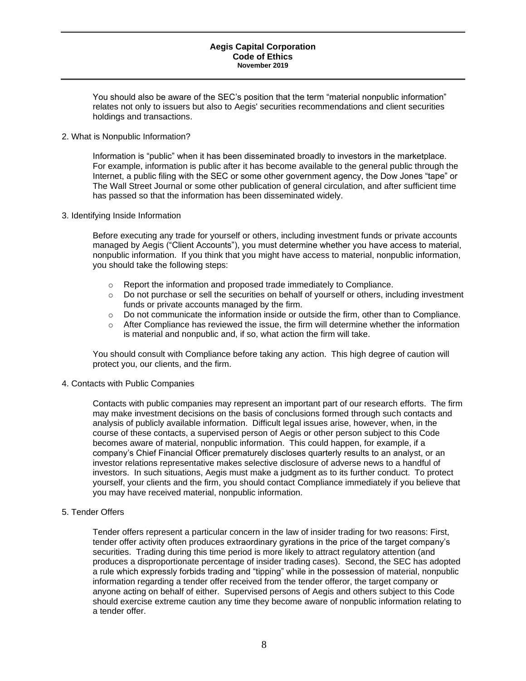You should also be aware of the SEC's position that the term "material nonpublic information" relates not only to issuers but also to Aegis' securities recommendations and client securities holdings and transactions.

#### 2. What is Nonpublic Information?

Information is "public" when it has been disseminated broadly to investors in the marketplace. For example, information is public after it has become available to the general public through the Internet, a public filing with the SEC or some other government agency, the Dow Jones "tape" or The Wall Street Journal or some other publication of general circulation, and after sufficient time has passed so that the information has been disseminated widely.

#### 3. Identifying Inside Information

Before executing any trade for yourself or others, including investment funds or private accounts managed by Aegis ("Client Accounts"), you must determine whether you have access to material, nonpublic information. If you think that you might have access to material, nonpublic information, you should take the following steps:

- o Report the information and proposed trade immediately to Compliance.
- $\circ$  Do not purchase or sell the securities on behalf of yourself or others, including investment funds or private accounts managed by the firm.
- $\circ$  Do not communicate the information inside or outside the firm, other than to Compliance.
- $\circ$  After Compliance has reviewed the issue, the firm will determine whether the information is material and nonpublic and, if so, what action the firm will take.

You should consult with Compliance before taking any action. This high degree of caution will protect you, our clients, and the firm.

4. Contacts with Public Companies

Contacts with public companies may represent an important part of our research efforts. The firm may make investment decisions on the basis of conclusions formed through such contacts and analysis of publicly available information. Difficult legal issues arise, however, when, in the course of these contacts, a supervised person of Aegis or other person subject to this Code becomes aware of material, nonpublic information. This could happen, for example, if a company's Chief Financial Officer prematurely discloses quarterly results to an analyst, or an investor relations representative makes selective disclosure of adverse news to a handful of investors. In such situations, Aegis must make a judgment as to its further conduct. To protect yourself, your clients and the firm, you should contact Compliance immediately if you believe that you may have received material, nonpublic information.

5. Tender Offers

Tender offers represent a particular concern in the law of insider trading for two reasons: First, tender offer activity often produces extraordinary gyrations in the price of the target company's securities. Trading during this time period is more likely to attract regulatory attention (and produces a disproportionate percentage of insider trading cases). Second, the SEC has adopted a rule which expressly forbids trading and "tipping" while in the possession of material, nonpublic information regarding a tender offer received from the tender offeror, the target company or anyone acting on behalf of either. Supervised persons of Aegis and others subject to this Code should exercise extreme caution any time they become aware of nonpublic information relating to a tender offer.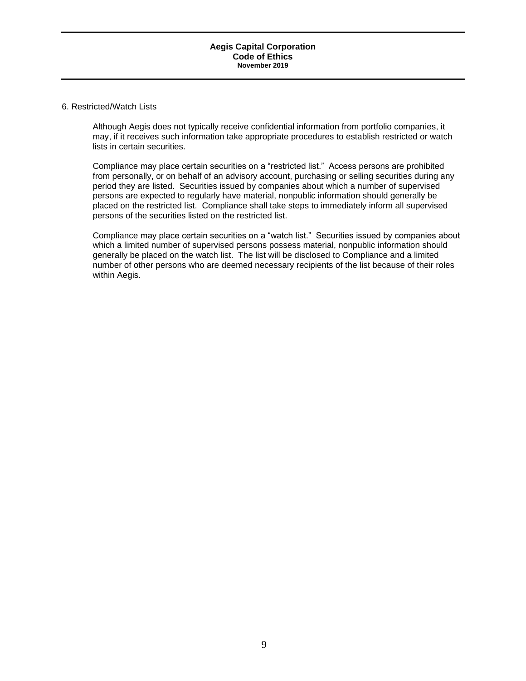#### 6. Restricted/Watch Lists

Although Aegis does not typically receive confidential information from portfolio companies, it may, if it receives such information take appropriate procedures to establish restricted or watch lists in certain securities.

Compliance may place certain securities on a "restricted list." Access persons are prohibited from personally, or on behalf of an advisory account, purchasing or selling securities during any period they are listed. Securities issued by companies about which a number of supervised persons are expected to regularly have material, nonpublic information should generally be placed on the restricted list. Compliance shall take steps to immediately inform all supervised persons of the securities listed on the restricted list.

Compliance may place certain securities on a "watch list." Securities issued by companies about which a limited number of supervised persons possess material, nonpublic information should generally be placed on the watch list. The list will be disclosed to Compliance and a limited number of other persons who are deemed necessary recipients of the list because of their roles within Aegis.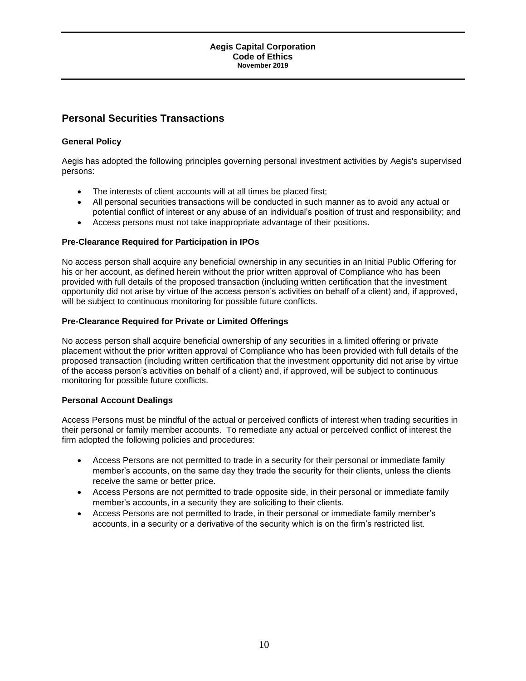## <span id="page-9-0"></span>**Personal Securities Transactions**

## **General Policy**

Aegis has adopted the following principles governing personal investment activities by Aegis's supervised persons:

- The interests of client accounts will at all times be placed first;
- All personal securities transactions will be conducted in such manner as to avoid any actual or potential conflict of interest or any abuse of an individual's position of trust and responsibility; and
- Access persons must not take inappropriate advantage of their positions.

## **Pre-Clearance Required for Participation in IPOs**

No access person shall acquire any beneficial ownership in any securities in an Initial Public Offering for his or her account, as defined herein without the prior written approval of Compliance who has been provided with full details of the proposed transaction (including written certification that the investment opportunity did not arise by virtue of the access person's activities on behalf of a client) and, if approved, will be subject to continuous monitoring for possible future conflicts.

### **Pre-Clearance Required for Private or Limited Offerings**

No access person shall acquire beneficial ownership of any securities in a limited offering or private placement without the prior written approval of Compliance who has been provided with full details of the proposed transaction (including written certification that the investment opportunity did not arise by virtue of the access person's activities on behalf of a client) and, if approved, will be subject to continuous monitoring for possible future conflicts.

#### **Personal Account Dealings**

Access Persons must be mindful of the actual or perceived conflicts of interest when trading securities in their personal or family member accounts. To remediate any actual or perceived conflict of interest the firm adopted the following policies and procedures:

- Access Persons are not permitted to trade in a security for their personal or immediate family member's accounts, on the same day they trade the security for their clients, unless the clients receive the same or better price.
- Access Persons are not permitted to trade opposite side, in their personal or immediate family member's accounts, in a security they are soliciting to their clients.
- Access Persons are not permitted to trade, in their personal or immediate family member's accounts, in a security or a derivative of the security which is on the firm's restricted list.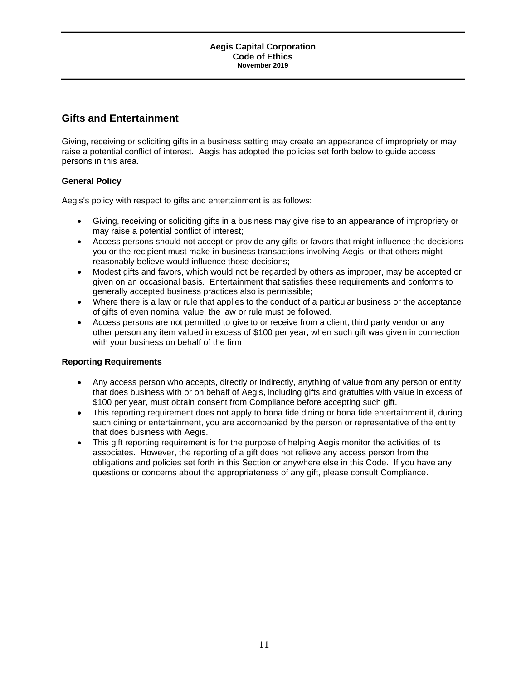## <span id="page-10-0"></span>**Gifts and Entertainment**

Giving, receiving or soliciting gifts in a business setting may create an appearance of impropriety or may raise a potential conflict of interest. Aegis has adopted the policies set forth below to guide access persons in this area.

## **General Policy**

Aegis's policy with respect to gifts and entertainment is as follows:

- Giving, receiving or soliciting gifts in a business may give rise to an appearance of impropriety or may raise a potential conflict of interest;
- Access persons should not accept or provide any gifts or favors that might influence the decisions you or the recipient must make in business transactions involving Aegis, or that others might reasonably believe would influence those decisions;
- Modest gifts and favors, which would not be regarded by others as improper, may be accepted or given on an occasional basis. Entertainment that satisfies these requirements and conforms to generally accepted business practices also is permissible;
- Where there is a law or rule that applies to the conduct of a particular business or the acceptance of gifts of even nominal value, the law or rule must be followed.
- Access persons are not permitted to give to or receive from a client, third party vendor or any other person any item valued in excess of \$100 per year, when such gift was given in connection with your business on behalf of the firm

## **Reporting Requirements**

- Any access person who accepts, directly or indirectly, anything of value from any person or entity that does business with or on behalf of Aegis, including gifts and gratuities with value in excess of \$100 per year, must obtain consent from Compliance before accepting such gift.
- This reporting requirement does not apply to bona fide dining or bona fide entertainment if, during such dining or entertainment, you are accompanied by the person or representative of the entity that does business with Aegis.
- This gift reporting requirement is for the purpose of helping Aegis monitor the activities of its associates. However, the reporting of a gift does not relieve any access person from the obligations and policies set forth in this Section or anywhere else in this Code. If you have any questions or concerns about the appropriateness of any gift, please consult Compliance.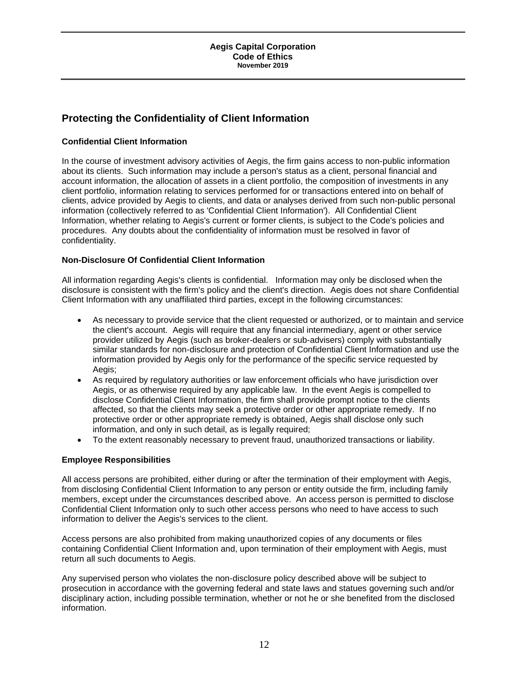## <span id="page-11-0"></span>**Protecting the Confidentiality of Client Information**

## **Confidential Client Information**

In the course of investment advisory activities of Aegis, the firm gains access to non-public information about its clients. Such information may include a person's status as a client, personal financial and account information, the allocation of assets in a client portfolio, the composition of investments in any client portfolio, information relating to services performed for or transactions entered into on behalf of clients, advice provided by Aegis to clients, and data or analyses derived from such non-public personal information (collectively referred to as 'Confidential Client Information'). All Confidential Client Information, whether relating to Aegis's current or former clients, is subject to the Code's policies and procedures. Any doubts about the confidentiality of information must be resolved in favor of confidentiality.

## **Non-Disclosure Of Confidential Client Information**

All information regarding Aegis's clients is confidential. Information may only be disclosed when the disclosure is consistent with the firm's policy and the client's direction. Aegis does not share Confidential Client Information with any unaffiliated third parties, except in the following circumstances:

- As necessary to provide service that the client requested or authorized, or to maintain and service the client's account. Aegis will require that any financial intermediary, agent or other service provider utilized by Aegis (such as broker-dealers or sub-advisers) comply with substantially similar standards for non-disclosure and protection of Confidential Client Information and use the information provided by Aegis only for the performance of the specific service requested by Aegis;
- As required by regulatory authorities or law enforcement officials who have jurisdiction over Aegis, or as otherwise required by any applicable law. In the event Aegis is compelled to disclose Confidential Client Information, the firm shall provide prompt notice to the clients affected, so that the clients may seek a protective order or other appropriate remedy. If no protective order or other appropriate remedy is obtained, Aegis shall disclose only such information, and only in such detail, as is legally required;
- To the extent reasonably necessary to prevent fraud, unauthorized transactions or liability.

## **Employee Responsibilities**

All access persons are prohibited, either during or after the termination of their employment with Aegis, from disclosing Confidential Client Information to any person or entity outside the firm, including family members, except under the circumstances described above. An access person is permitted to disclose Confidential Client Information only to such other access persons who need to have access to such information to deliver the Aegis's services to the client.

Access persons are also prohibited from making unauthorized copies of any documents or files containing Confidential Client Information and, upon termination of their employment with Aegis, must return all such documents to Aegis.

Any supervised person who violates the non-disclosure policy described above will be subject to prosecution in accordance with the governing federal and state laws and statues governing such and/or disciplinary action, including possible termination, whether or not he or she benefited from the disclosed information.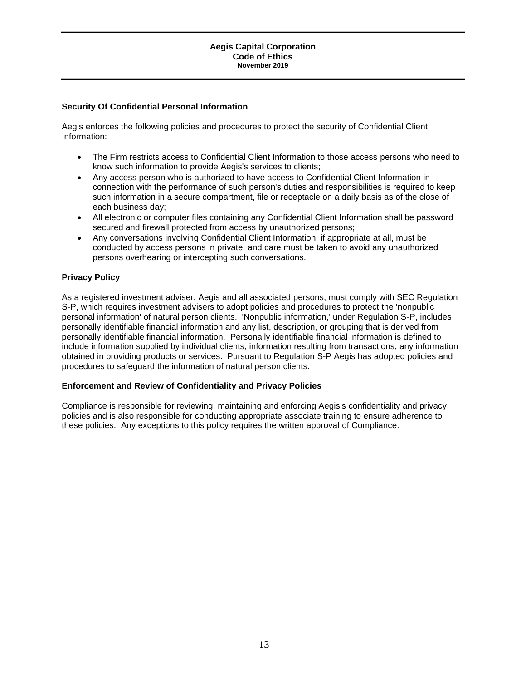### **Security Of Confidential Personal Information**

Aegis enforces the following policies and procedures to protect the security of Confidential Client Information:

- The Firm restricts access to Confidential Client Information to those access persons who need to know such information to provide Aegis's services to clients;
- Any access person who is authorized to have access to Confidential Client Information in connection with the performance of such person's duties and responsibilities is required to keep such information in a secure compartment, file or receptacle on a daily basis as of the close of each business day;
- All electronic or computer files containing any Confidential Client Information shall be password secured and firewall protected from access by unauthorized persons;
- Any conversations involving Confidential Client Information, if appropriate at all, must be conducted by access persons in private, and care must be taken to avoid any unauthorized persons overhearing or intercepting such conversations.

### **Privacy Policy**

As a registered investment adviser, Aegis and all associated persons, must comply with SEC Regulation S-P, which requires investment advisers to adopt policies and procedures to protect the 'nonpublic personal information' of natural person clients. 'Nonpublic information,' under Regulation S-P, includes personally identifiable financial information and any list, description, or grouping that is derived from personally identifiable financial information. Personally identifiable financial information is defined to include information supplied by individual clients, information resulting from transactions, any information obtained in providing products or services. Pursuant to Regulation S-P Aegis has adopted policies and procedures to safeguard the information of natural person clients.

#### **Enforcement and Review of Confidentiality and Privacy Policies**

Compliance is responsible for reviewing, maintaining and enforcing Aegis's confidentiality and privacy policies and is also responsible for conducting appropriate associate training to ensure adherence to these policies. Any exceptions to this policy requires the written approval of Compliance.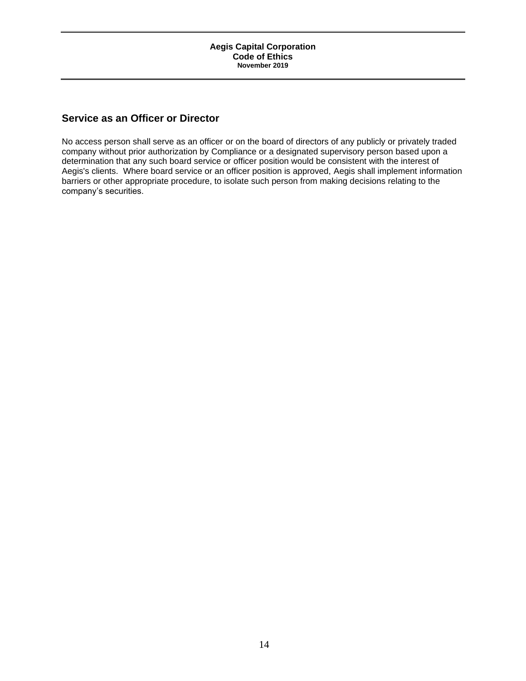## <span id="page-13-0"></span>**Service as an Officer or Director**

No access person shall serve as an officer or on the board of directors of any publicly or privately traded company without prior authorization by Compliance or a designated supervisory person based upon a determination that any such board service or officer position would be consistent with the interest of Aegis's clients. Where board service or an officer position is approved, Aegis shall implement information barriers or other appropriate procedure, to isolate such person from making decisions relating to the company's securities.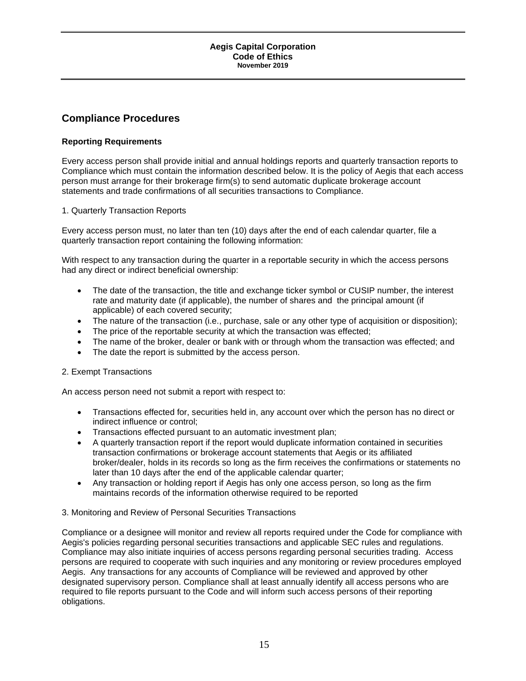## <span id="page-14-0"></span>**Compliance Procedures**

## **Reporting Requirements**

Every access person shall provide initial and annual holdings reports and quarterly transaction reports to Compliance which must contain the information described below. It is the policy of Aegis that each access person must arrange for their brokerage firm(s) to send automatic duplicate brokerage account statements and trade confirmations of all securities transactions to Compliance.

## 1. Quarterly Transaction Reports

Every access person must, no later than ten (10) days after the end of each calendar quarter, file a quarterly transaction report containing the following information:

With respect to any transaction during the quarter in a reportable security in which the access persons had any direct or indirect beneficial ownership:

- The date of the transaction, the title and exchange ticker symbol or CUSIP number, the interest rate and maturity date (if applicable), the number of shares and the principal amount (if applicable) of each covered security;
- The nature of the transaction (i.e., purchase, sale or any other type of acquisition or disposition);
- The price of the reportable security at which the transaction was effected;
- The name of the broker, dealer or bank with or through whom the transaction was effected; and
- The date the report is submitted by the access person.

## 2. Exempt Transactions

An access person need not submit a report with respect to:

- Transactions effected for, securities held in, any account over which the person has no direct or indirect influence or control;
- Transactions effected pursuant to an automatic investment plan;
- A quarterly transaction report if the report would duplicate information contained in securities transaction confirmations or brokerage account statements that Aegis or its affiliated broker/dealer, holds in its records so long as the firm receives the confirmations or statements no later than 10 days after the end of the applicable calendar quarter;
- Any transaction or holding report if Aegis has only one access person, so long as the firm maintains records of the information otherwise required to be reported

## 3. Monitoring and Review of Personal Securities Transactions

Compliance or a designee will monitor and review all reports required under the Code for compliance with Aegis's policies regarding personal securities transactions and applicable SEC rules and regulations. Compliance may also initiate inquiries of access persons regarding personal securities trading. Access persons are required to cooperate with such inquiries and any monitoring or review procedures employed Aegis. Any transactions for any accounts of Compliance will be reviewed and approved by other designated supervisory person. Compliance shall at least annually identify all access persons who are required to file reports pursuant to the Code and will inform such access persons of their reporting obligations.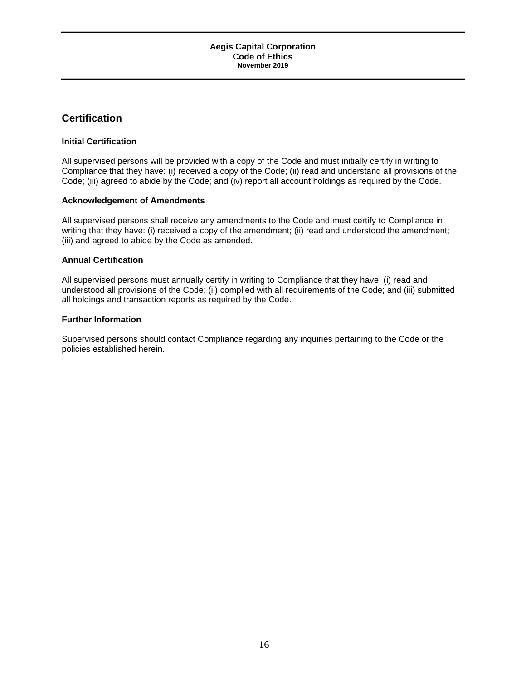## <span id="page-15-0"></span>**Certification**

### **Initial Certification**

All supervised persons will be provided with a copy of the Code and must initially certify in writing to Compliance that they have: (i) received a copy of the Code; (ii) read and understand all provisions of the Code; (iii) agreed to abide by the Code; and (iv) report all account holdings as required by the Code.

#### **Acknowledgement of Amendments**

All supervised persons shall receive any amendments to the Code and must certify to Compliance in writing that they have: (i) received a copy of the amendment; (ii) read and understood the amendment; (iii) and agreed to abide by the Code as amended.

### **Annual Certification**

All supervised persons must annually certify in writing to Compliance that they have: (i) read and understood all provisions of the Code; (ii) complied with all requirements of the Code; and (iii) submitted all holdings and transaction reports as required by the Code.

### **Further Information**

Supervised persons should contact Compliance regarding any inquiries pertaining to the Code or the policies established herein.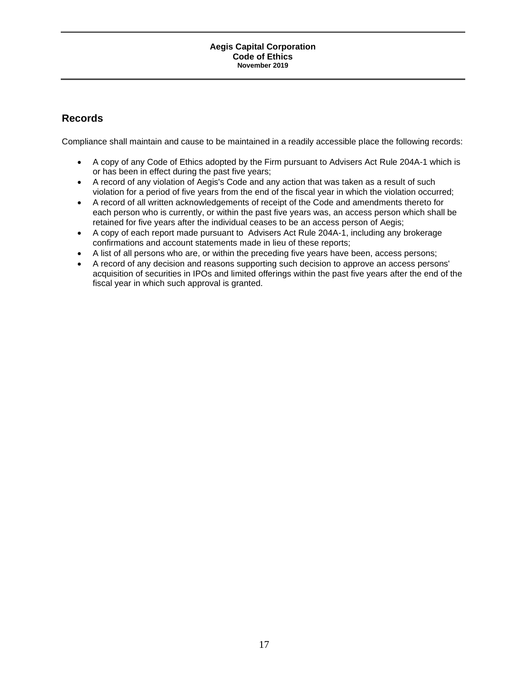## <span id="page-16-0"></span>**Records**

Compliance shall maintain and cause to be maintained in a readily accessible place the following records:

- A copy of any Code of Ethics adopted by the Firm pursuant to Advisers Act Rule 204A-1 which is or has been in effect during the past five years;
- A record of any violation of Aegis's Code and any action that was taken as a result of such violation for a period of five years from the end of the fiscal year in which the violation occurred;
- A record of all written acknowledgements of receipt of the Code and amendments thereto for each person who is currently, or within the past five years was, an access person which shall be retained for five years after the individual ceases to be an access person of Aegis;
- A copy of each report made pursuant to Advisers Act Rule 204A-1, including any brokerage confirmations and account statements made in lieu of these reports;
- A list of all persons who are, or within the preceding five years have been, access persons;
- A record of any decision and reasons supporting such decision to approve an access persons' acquisition of securities in IPOs and limited offerings within the past five years after the end of the fiscal year in which such approval is granted.